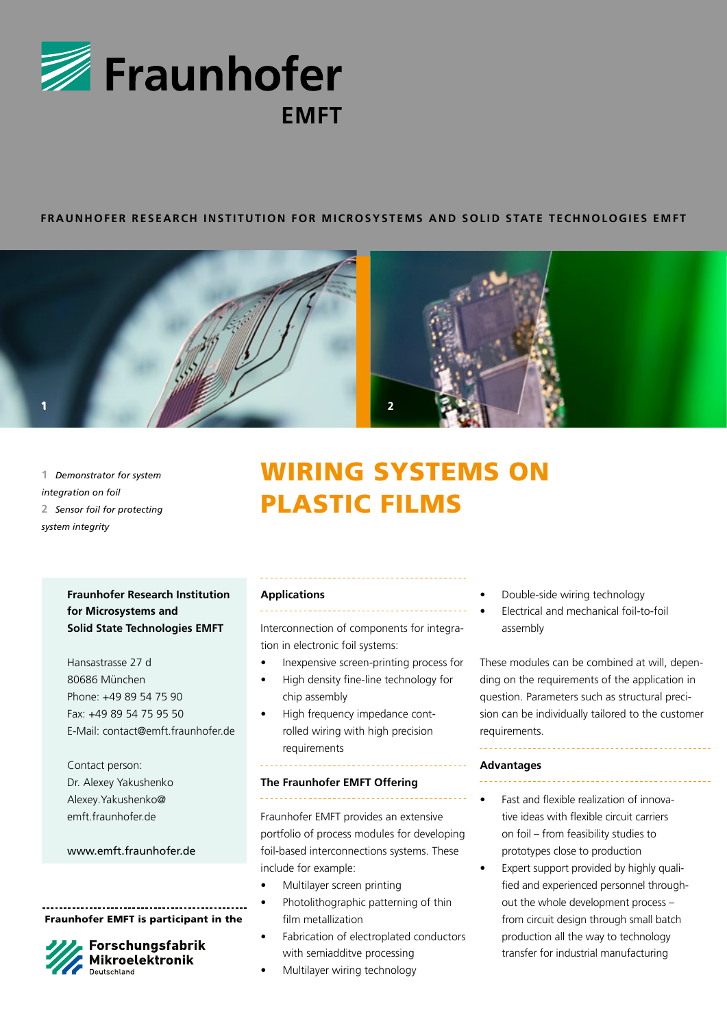

# **FRAUNHOFER RESEARCH INSTITUTION FOR MICROSYSTEMS AND SOLID STATE TECHNOLOGIES EMFT**



**1** *Demonstrator for system integration on foil* **2** *Sensor foil for protecting system integrity*

# WIRING SYSTEMS ON PLASTIC FILMS

# **Fraunhofer Research Institution for Microsystems and Solid State Technologies EMFT**

Hansastrasse 27 d 80686 München Phone: +49 89 54 75 90 Fax: +49 89 54 75 95 50 E-Mail: contact@emft.fraunhofer.de

Contact person: Dr. Alexey Yakushenko Alexey.Yakushenko@ emft.fraunhofer.de

# www.emft.fraunhofer.de

Fraunhofer EMFT is participant in the



# Forschungsfabrik Mikroelektronik

#### **Applications**

Interconnection of components for integration in electronic foil systems:

- Inexpensive screen-printing process for
- High density fine-line technology for chip assembly
- High frequency impedance controlled wiring with high precision requirements

### **The Fraunhofer EMFT Offering**

. . . . . . . . . . . .

Fraunhofer EMFT provides an extensive portfolio of process modules for developing foil-based interconnections systems. These include for example:

- Multilayer screen printing
- Photolithographic patterning of thin film metallization
- Fabrication of electroplated conductors with semiadditve processing
- Multilayer wiring technology
- Double-side wiring technology
- Electrical and mechanical foil-to-foil assembly

These modules can be combined at will, depending on the requirements of the application in question. Parameters such as structural precision can be individually tailored to the customer requirements.

#### **Advantages**

• Fast and flexible realization of innovative ideas with flexible circuit carriers on foil – from feasibility studies to prototypes close to production

• Expert support provided by highly qualified and experienced personnel throughout the whole development process – from circuit design through small batch production all the way to technology transfer for industrial manufacturing